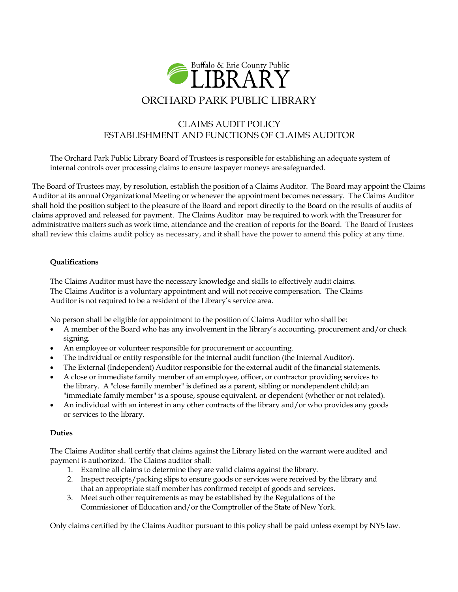

# CLAIMS AUDIT POLICY ESTABLISHMENT AND FUNCTIONS OF CLAIMS AUDITOR

The Orchard Park Public Library Board of Trustees is responsible for establishing an adequate system of internal controls over processing claims to ensure taxpayer moneys are safeguarded.

The Board of Trustees may, by resolution, establish the position of a Claims Auditor. The Board may appoint the Claims Auditor at its annual Organizational Meeting or whenever the appointment becomes necessary. The Claims Auditor shall hold the position subject to the pleasure of the Board and report directly to the Board on the results of audits of claims approved and released for payment. The Claims Auditor may be required to work with the Treasurer for administrative matters such as work time, attendance and the creation of reports for the Board. The Board of Trustees shall review this claims audit policy as necessary, and it shall have the power to amend this policy at any time.

# **Qualifications**

The Claims Auditor must have the necessary knowledge and skills to effectively audit claims. The Claims Auditor is a voluntary appointment and will not receive compensation. The Claims Auditor is not required to be a resident of the Library's service area.

No person shall be eligible for appointment to the position of Claims Auditor who shall be:

- A member of the Board who has any involvement in the library's accounting, procurement and/or check signing.
- An employee or volunteer responsible for procurement or accounting.
- The individual or entity responsible for the internal audit function (the Internal Auditor).
- The External (Independent) Auditor responsible for the external audit of the financial statements.
- A close or immediate family member of an employee, officer, or contractor providing services to the library. A "close family member" is defined as a parent, sibling or nondependent child; an "immediate family member" is a spouse, spouse equivalent, or dependent (whether or not related).
- An individual with an interest in any other contracts of the library and/or who provides any goods or services to the library.

# **Duties**

The Claims Auditor shall certify that claims against the Library listed on the warrant were audited and payment is authorized. The Claims auditor shall:

- 1. Examine all claims to determine they are valid claims against the library.
- 2. Inspect receipts/packing slips to ensure goods or services were received by the library and that an appropriate staff member has confirmed receipt of goods and services.
- 3. Meet such other requirements as may be established by the Regulations of the Commissioner of Education and/or the Comptroller of the State of New York.

Only claims certified by the Claims Auditor pursuant to this policy shall be paid unless exempt by NYS law.